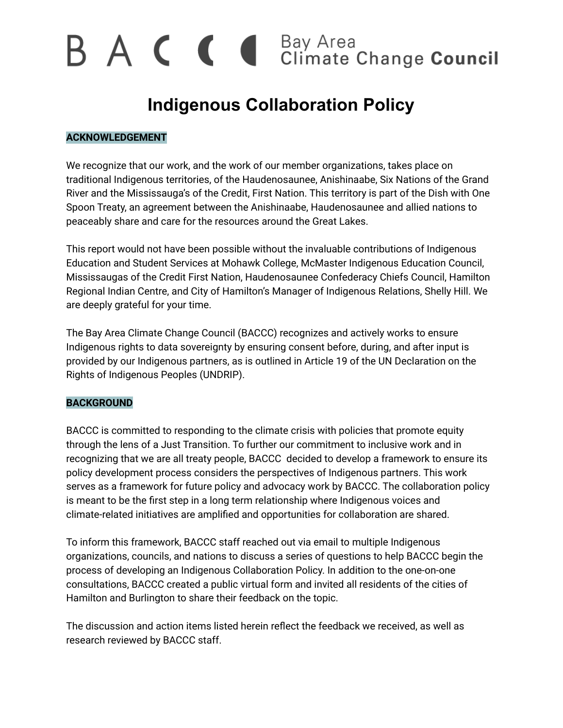# B A C C I Bay Area<br>Climate Change Council

# **Indigenous Collaboration Policy**

# **ACKNOWLEDGEMENT**

We recognize that our work, and the work of our member organizations, takes place on traditional Indigenous territories, of the Haudenosaunee, Anishinaabe, Six Nations of the Grand River and the Mississauga's of the Credit, First Nation. This territory is part of the Dish with One Spoon Treaty, an agreement between the Anishinaabe, Haudenosaunee and allied nations to peaceably share and care for the resources around the Great Lakes.

This report would not have been possible without the invaluable contributions of Indigenous Education and Student Services at Mohawk College, McMaster Indigenous Education Council, Mississaugas of the Credit First Nation, Haudenosaunee Confederacy Chiefs Council, Hamilton Regional Indian Centre, and City of Hamilton's Manager of Indigenous Relations, Shelly Hill. We are deeply grateful for your time.

The Bay Area Climate Change Council (BACCC) recognizes and actively works to ensure Indigenous rights to data sovereignty by ensuring consent before, during, and after input is provided by our Indigenous partners, as is outlined in Article 19 of the UN Declaration on the Rights of Indigenous Peoples (UNDRIP).

### **BACKGROUND**

BACCC is committed to responding to the climate crisis with policies that promote equity through the lens of a Just Transition. To further our commitment to inclusive work and in recognizing that we are all treaty people, BACCC decided to develop a framework to ensure its policy development process considers the perspectives of Indigenous partners. This work serves as a framework for future policy and advocacy work by BACCC. The collaboration policy is meant to be the first step in a long term relationship where Indigenous voices and climate-related initiatives are amplified and opportunities for collaboration are shared.

To inform this framework, BACCC staff reached out via email to multiple Indigenous organizations, councils, and nations to discuss a series of questions to help BACCC begin the process of developing an Indigenous Collaboration Policy. In addition to the one-on-one consultations, BACCC created a public virtual form and invited all residents of the cities of Hamilton and Burlington to share their feedback on the topic.

The discussion and action items listed herein reflect the feedback we received, as well as research reviewed by BACCC staff.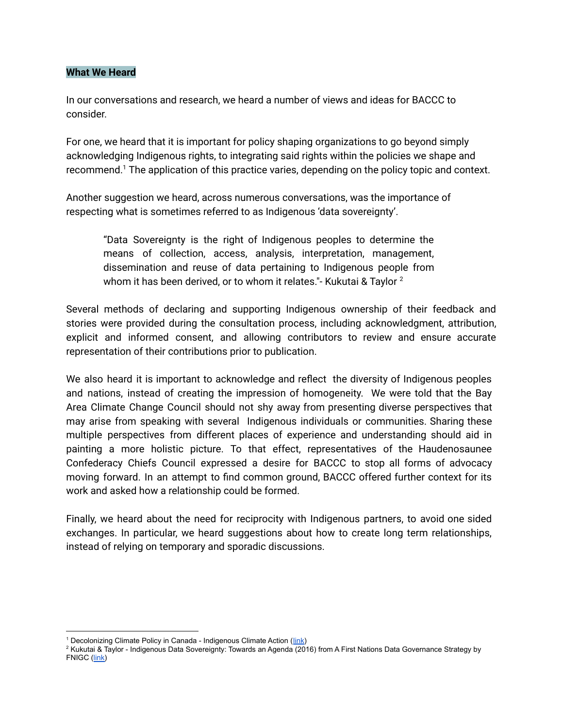#### **What We Heard**

In our conversations and research, we heard a number of views and ideas for BACCC to consider.

For one, we heard that it is important for policy shaping organizations to go beyond simply acknowledging Indigenous rights, to integrating said rights within the policies we shape and recommend. <sup>1</sup> The application of this practice varies, depending on the policy topic and context.

Another suggestion we heard, across numerous conversations, was the importance of respecting what is sometimes referred to as Indigenous 'data sovereignty'.

"Data Sovereignty is the right of Indigenous peoples to determine the means of collection, access, analysis, interpretation, management, dissemination and reuse of data pertaining to Indigenous people from whom it has been derived, or to whom it relates."- Kukutai & Taylor  $^{\text{2}}$ 

Several methods of declaring and supporting Indigenous ownership of their feedback and stories were provided during the consultation process, including acknowledgment, attribution, explicit and informed consent, and allowing contributors to review and ensure accurate representation of their contributions prior to publication.

We also heard it is important to acknowledge and reflect the diversity of Indigenous peoples and nations, instead of creating the impression of homogeneity. We were told that the Bay Area Climate Change Council should not shy away from presenting diverse perspectives that may arise from speaking with several Indigenous individuals or communities. Sharing these multiple perspectives from different places of experience and understanding should aid in painting a more holistic picture. To that effect, representatives of the Haudenosaunee Confederacy Chiefs Council expressed a desire for BACCC to stop all forms of advocacy moving forward. In an attempt to find common ground, BACCC offered further context for its work and asked how a relationship could be formed.

Finally, we heard about the need for reciprocity with Indigenous partners, to avoid one sided exchanges. In particular, we heard suggestions about how to create long term relationships, instead of relying on temporary and sporadic discussions.

<sup>&</sup>lt;sup>1</sup> Decolonizing Climate Policy in Canada - Indigenous Climate Action ([link\)](https://static1.squarespace.com/static/5e8e4b5ae8628564ab4bc44c/t/6061cb5926611066ba64a953/1617021791071/pcf_critique_FINAL.pdf)

<sup>&</sup>lt;sup>2</sup> Kukutai & Taylor - Indigenous Data Sovereignty: Towards an Agenda (2016) from A First Nations Data Governance Strategy by FNIGC ([link\)](https://fnigc.ca/news/introducing-a-first-nations-data-governance-strategy/)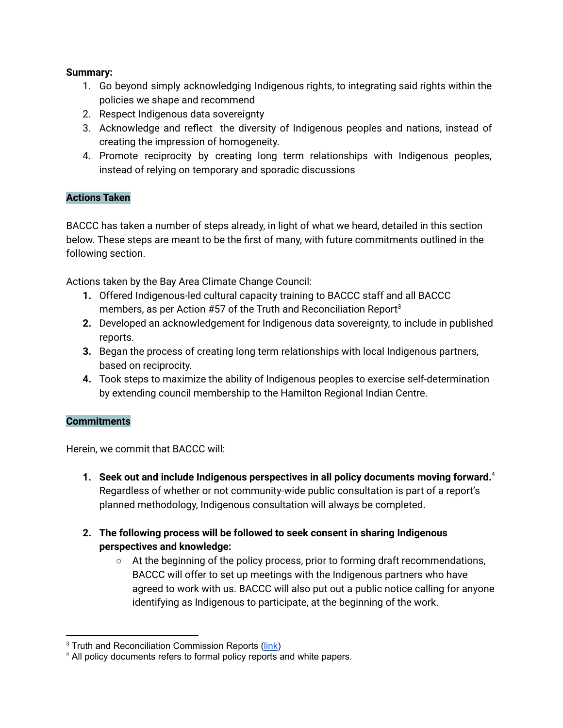# **Summary:**

- 1. Go beyond simply acknowledging Indigenous rights, to integrating said rights within the policies we shape and recommend
- 2. Respect Indigenous data sovereignty
- 3. Acknowledge and reflect the diversity of Indigenous peoples and nations, instead of creating the impression of homogeneity.
- 4. Promote reciprocity by creating long term relationships with Indigenous peoples, instead of relying on temporary and sporadic discussions

## **Actions Taken**

BACCC has taken a number of steps already, in light of what we heard, detailed in this section below. These steps are meant to be the first of many, with future commitments outlined in the following section.

Actions taken by the Bay Area Climate Change Council:

- **1.** Offered Indigenous-led cultural capacity training to BACCC staff and all BACCC members, as per Action #57 of the Truth and Reconciliation Report 3
- **2.** Developed an acknowledgement for Indigenous data sovereignty, to include in published reports.
- **3.** Began the process of creating long term relationships with local Indigenous partners, based on reciprocity.
- **4.** Took steps to maximize the ability of Indigenous peoples to exercise self-determination by extending council membership to the Hamilton Regional Indian Centre.

### **Commitments**

Herein, we commit that BACCC will:

- **1. Seek out and include Indigenous perspectives in all policy documents moving forward.** 4 Regardless of whether or not community-wide public consultation is part of a report's planned methodology, Indigenous consultation will always be completed.
- **2. The following process will be followed to seek consent in sharing Indigenous perspectives and knowledge:**
	- At the beginning of the policy process, prior to forming draft recommendations, BACCC will offer to set up meetings with the Indigenous partners who have agreed to work with us. BACCC will also put out a public notice calling for anyone identifying as Indigenous to participate, at the beginning of the work.

<sup>&</sup>lt;sup>3</sup> Truth and Reconciliation Commission Reports [\(link](https://nctr.ca/records/reports/))

<sup>&</sup>lt;sup>4</sup> All policy documents refers to formal policy reports and white papers.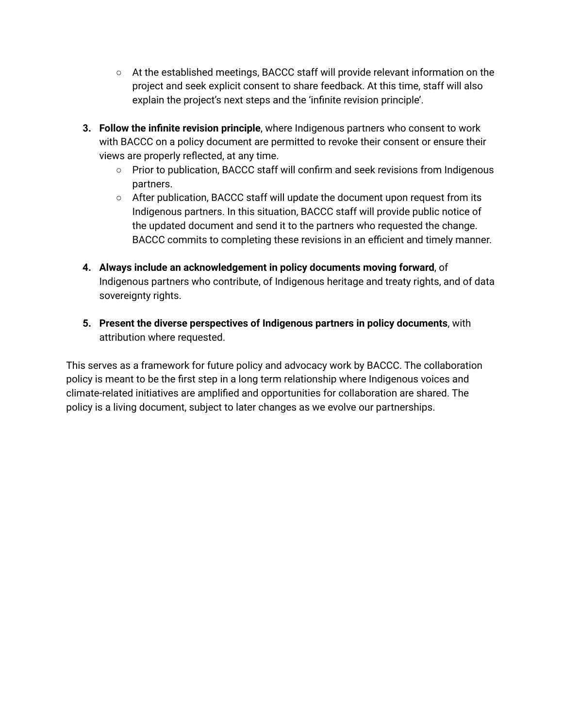- At the established meetings, BACCC staff will provide relevant information on the project and seek explicit consent to share feedback. At this time, staff will also explain the project's next steps and the 'infinite revision principle'.
- **3. Follow the infinite revision principle**, where Indigenous partners who consent to work with BACCC on a policy document are permitted to revoke their consent or ensure their views are properly reflected, at any time.
	- **○** Prior to publication, BACCC staff will confirm and seek revisions from Indigenous partners.
	- After publication, BACCC staff will update the document upon request from its Indigenous partners. In this situation, BACCC staff will provide public notice of the updated document and send it to the partners who requested the change. BACCC commits to completing these revisions in an efficient and timely manner.
- **4. Always include an acknowledgement in policy documents moving forward**, of Indigenous partners who contribute, of Indigenous heritage and treaty rights, and of data sovereignty rights.
- **5. Present the diverse perspectives of Indigenous partners in policy documents**, with attribution where requested.

This serves as a framework for future policy and advocacy work by BACCC. The collaboration policy is meant to be the first step in a long term relationship where Indigenous voices and climate-related initiatives are amplified and opportunities for collaboration are shared. The policy is a living document, subject to later changes as we evolve our partnerships.